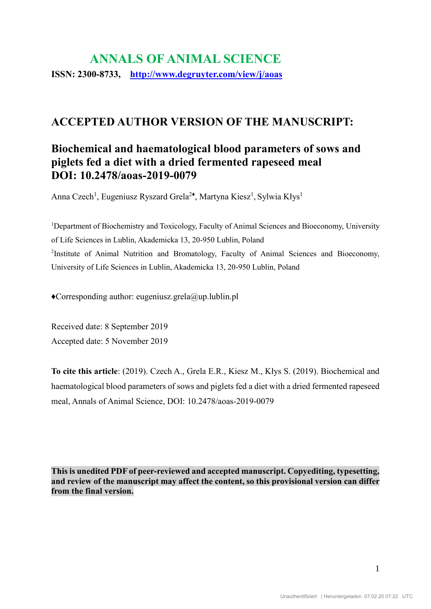# **ANNALS OF ANIMAL SCIENCE ISSN: 2300-8733, <http://www.degruyter.com/view/j/aoas>**

## **ACCEPTED AUTHOR VERSION OF THE MANUSCRIPT:**

## **Biochemical and haematological blood parameters of sows and piglets fed a diet with a dried fermented rapeseed meal DOI: 10.2478/aoas-2019-0079**

Anna Czech<sup>1</sup>, Eugeniusz Ryszard Grela<sup>2</sup>, Martyna Kiesz<sup>1</sup>, Sylwia Kłys<sup>1</sup>

<sup>1</sup>Department of Biochemistry and Toxicology, Faculty of Animal Sciences and Bioeconomy, University of Life Sciences in Lublin, Akademicka 13, 20-950 Lublin, Poland <sup>2</sup>Institute of Animal Nutrition and Bromatology, Faculty of Animal Sciences and Bioeconomy, University of Life Sciences in Lublin, Akademicka 13, 20-950 Lublin, Poland

 $\triangle$ Corresponding author: eugeniusz.grela@up.lublin.pl

Received date: 8 September 2019 Accepted date: 5 November 2019

**To cite this article**: (2019). Czech A., Grela E.R., Kiesz M., Kłys S. (2019). Biochemical and haematological blood parameters of sows and piglets fed a diet with a dried fermented rapeseed meal, Annals of Animal Science, DOI: 10.2478/aoas-2019-0079

**This is unedited PDF of peer-reviewed and accepted manuscript. Copyediting, typesetting, and review of the manuscript may affect the content, so this provisional version can differ from the final version.**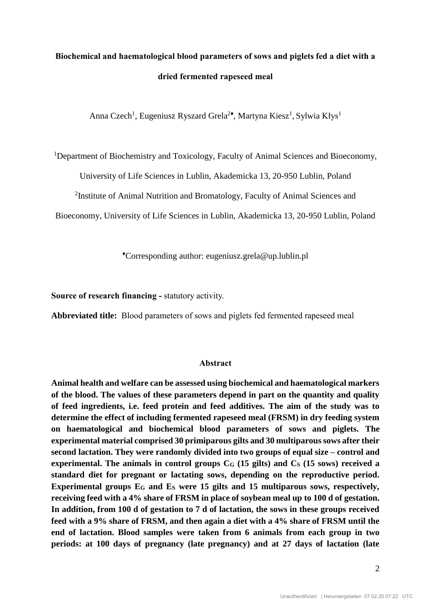# **Biochemical and haematological blood parameters of sows and piglets fed a diet with a dried fermented rapeseed meal**

Anna Czech<sup>1</sup>, Eugeniusz Ryszard Grela<sup>2</sup>, Martyna Kiesz<sup>1</sup>, Sylwia Kłys<sup>1</sup>

<sup>1</sup>Department of Biochemistry and Toxicology, Faculty of Animal Sciences and Bioeconomy,

University of Life Sciences in Lublin, Akademicka 13, 20-950 Lublin, Poland

<sup>2</sup>Institute of Animal Nutrition and Bromatology, Faculty of Animal Sciences and

Bioeconomy, University of Life Sciences in Lublin, Akademicka 13, 20-950 Lublin, Poland

♦Corresponding author: eugeniusz.grela@up.lublin.pl

**Source of research financing -** statutory activity.

**Abbreviated title:** Blood parameters of sows and piglets fed fermented rapeseed meal

### **Abstract**

**Animal health and welfare can be assessed using biochemical and haematological markers of the blood. The values of these parameters depend in part on the quantity and quality of feed ingredients, i.e. feed protein and feed additives. The aim of the study was to determine the effect of including fermented rapeseed meal (FRSM) in dry feeding system on haematological and biochemical blood parameters of sows and piglets. The experimental material comprised 30 primiparous gilts and 30 multiparous sows after their second lactation. They were randomly divided into two groups of equal size – control and experimental. The animals in control groups C<sup>G</sup> (15 gilts) and C<sup>S</sup> (15 sows) received a standard diet for pregnant or lactating sows, depending on the reproductive period.**  Experimental groups E<sub>G</sub> and E<sub>S</sub> were 15 gilts and 15 multiparous sows, respectively, **receiving feed with a 4% share of FRSM in place of soybean meal up to 100 d of gestation. In addition, from 100 d of gestation to 7 d of lactation, the sows in these groups received feed with a 9% share of FRSM, and then again a diet with a 4% share of FRSM until the end of lactation. Blood samples were taken from 6 animals from each group in two periods: at 100 days of pregnancy (late pregnancy) and at 27 days of lactation (late**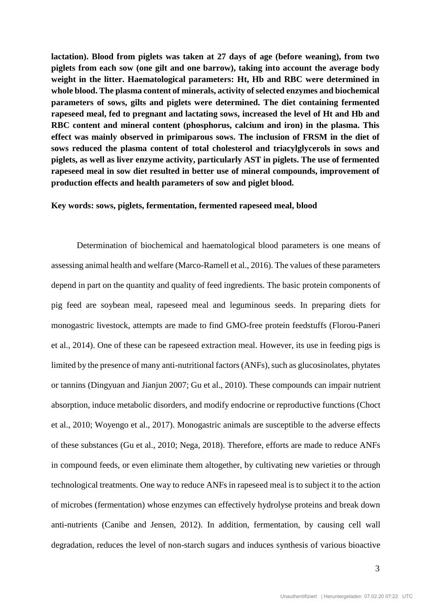**lactation). Blood from piglets was taken at 27 days of age (before weaning), from two piglets from each sow (one gilt and one barrow), taking into account the average body weight in the litter. Haematological parameters: Ht, Hb and RBC were determined in whole blood. The plasma content of minerals, activity of selected enzymes and biochemical parameters of sows, gilts and piglets were determined. The diet containing fermented rapeseed meal, fed to pregnant and lactating sows, increased the level of Ht and Hb and RBC content and mineral content (phosphorus, calcium and iron) in the plasma. This effect was mainly observed in primiparous sows. The inclusion of FRSM in the diet of sows reduced the plasma content of total cholesterol and triacylglycerols in sows and piglets, as well as liver enzyme activity, particularly AST in piglets. The use of fermented rapeseed meal in sow diet resulted in better use of mineral compounds, improvement of production effects and health parameters of sow and piglet blood.**

#### **Key words: sows, piglets, fermentation, fermented rapeseed meal, blood**

Determination of biochemical and haematological blood parameters is one means of assessing animal health and welfare (Marco-Ramell et al., 2016). The values of these parameters depend in part on the quantity and quality of feed ingredients. The basic protein components of pig feed are soybean meal, rapeseed meal and leguminous seeds. In preparing diets for monogastric livestock, attempts are made to find GMO-free protein feedstuffs (Florou-Paneri et al., 2014). One of these can be rapeseed extraction meal. However, its use in feeding pigs is limited by the presence of many anti-nutritional factors (ANFs), such as glucosinolates, phytates or tannins (Dingyuan and Jianjun 2007; Gu et al., 2010). These compounds can impair nutrient absorption, induce metabolic disorders, and modify endocrine or reproductive functions (Choct et al., 2010; Woyengo et al., 2017). Monogastric animals are susceptible to the adverse effects of these substances (Gu et al., 2010; Nega, 2018). Therefore, efforts are made to reduce ANFs in compound feeds, or even eliminate them altogether, by cultivating new varieties or through technological treatments. One way to reduce ANFs in rapeseed meal is to subject it to the action of microbes (fermentation) whose enzymes can effectively hydrolyse proteins and break down anti-nutrients (Canibe and Jensen, 2012). In addition, fermentation, by causing cell wall degradation, reduces the level of non-starch sugars and induces synthesis of various bioactive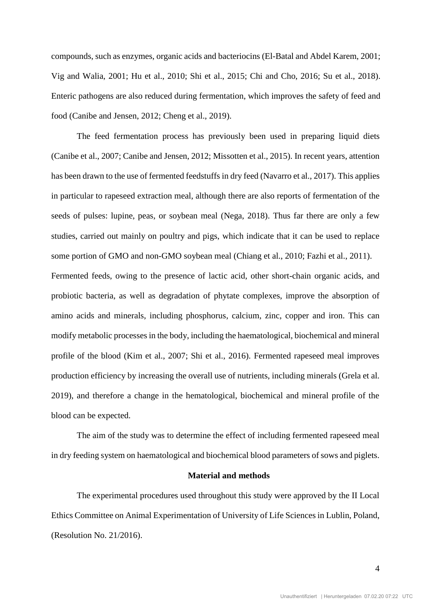compounds, such as enzymes, organic acids and bacteriocins (El-Batal and Abdel Karem, 2001; Vig and Walia, 2001; Hu et al., 2010; Shi et al., 2015; Chi and Cho, 2016; Su et al., 2018). Enteric pathogens are also reduced during fermentation, which improves the safety of feed and food (Canibe and Jensen, 2012; Cheng et al., 2019).

The feed fermentation process has previously been used in preparing liquid diets (Canibe et al., 2007; Canibe and Jensen, 2012; Missotten et al., 2015). In recent years, attention has been drawn to the use of fermented feedstuffs in dry feed (Navarro et al., 2017). This applies in particular to rapeseed extraction meal, although there are also reports of fermentation of the seeds of pulses: lupine, peas, or soybean meal (Nega, 2018). Thus far there are only a few studies, carried out mainly on poultry and pigs, which indicate that it can be used to replace some portion of GMO and non-GMO soybean meal (Chiang et al., 2010; Fazhi et al., 2011).

Fermented feeds, owing to the presence of lactic acid, other short-chain organic acids, and probiotic bacteria, as well as degradation of phytate complexes, improve the absorption of amino acids and minerals, including phosphorus, calcium, zinc, copper and iron. This can modify metabolic processes in the body, including the haematological, biochemical and mineral profile of the blood (Kim et al., 2007; Shi et al., 2016). Fermented rapeseed meal improves production efficiency by increasing the overall use of nutrients, including minerals (Grela et al. 2019), and therefore a change in the hematological, biochemical and mineral profile of the blood can be expected.

The aim of the study was to determine the effect of including fermented rapeseed meal in dry feeding system on haematological and biochemical blood parameters of sows and piglets.

#### **Material and methods**

The experimental procedures used throughout this study were approved by the II Local Ethics Committee on Animal Experimentation of University of Life Sciences in Lublin, Poland, (Resolution No. 21/2016).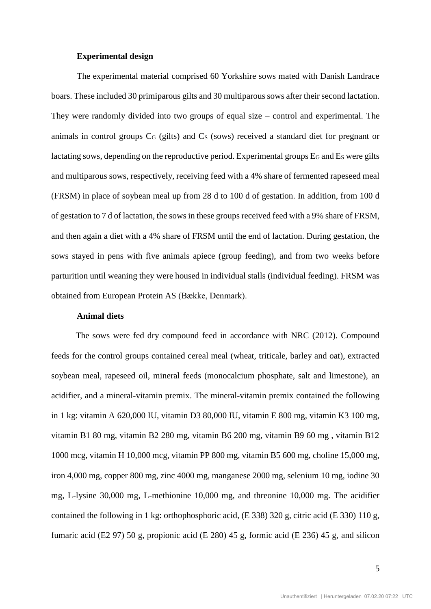### **Experimental design**

The experimental material comprised 60 Yorkshire sows mated with Danish Landrace boars. These included 30 primiparous gilts and 30 multiparous sows after their second lactation. They were randomly divided into two groups of equal size – control and experimental. The animals in control groups  $C_G$  (gilts) and  $C_S$  (sows) received a standard diet for pregnant or lactating sows, depending on the reproductive period. Experimental groups  $E_G$  and  $E_S$  were gilts and multiparous sows, respectively, receiving feed with a 4% share of fermented rapeseed meal (FRSM) in place of soybean meal up from 28 d to 100 d of gestation. In addition, from 100 d of gestation to 7 d of lactation, the sows in these groups received feed with a 9% share of FRSM, and then again a diet with a 4% share of FRSM until the end of lactation. During gestation, the sows stayed in pens with five animals apiece (group feeding), and from two weeks before parturition until weaning they were housed in individual stalls (individual feeding). FRSM was obtained from European Protein AS (Bække, Denmark).

### **Animal diets**

The sows were fed dry compound feed in accordance with NRC (2012). Compound feeds for the control groups contained cereal meal (wheat, triticale, barley and oat), extracted soybean meal, rapeseed oil, mineral feeds (monocalcium phosphate, salt and limestone), an acidifier, and a mineral-vitamin premix. The mineral-vitamin premix contained the following in 1 kg: vitamin A 620,000 IU, vitamin D3 80,000 IU, vitamin E 800 mg, vitamin K3 100 mg, vitamin B1 80 mg, vitamin B2 280 mg, vitamin B6 200 mg, vitamin B9 60 mg , vitamin B12 1000 mcg, vitamin H 10,000 mcg, vitamin PP 800 mg, vitamin B5 600 mg, choline 15,000 mg, iron 4,000 mg, copper 800 mg, zinc 4000 mg, manganese 2000 mg, selenium 10 mg, iodine 30 mg, L-lysine 30,000 mg, L-methionine 10,000 mg, and threonine 10,000 mg. The acidifier contained the following in 1 kg: orthophosphoric acid,  $(E 338) 320$  g, citric acid  $(E 330) 110$  g, fumaric acid (E2 97) 50 g, propionic acid (E 280) 45 g, formic acid (E 236) 45 g, and silicon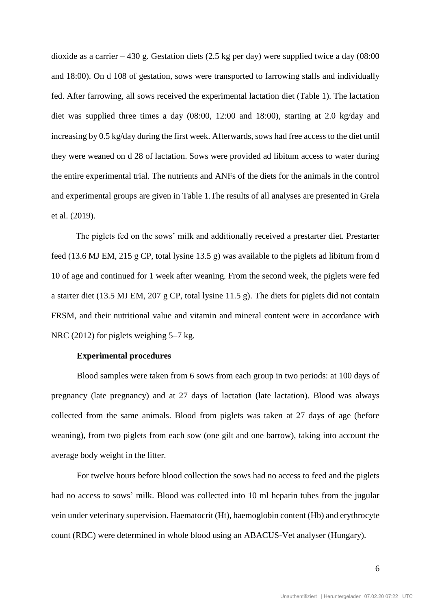dioxide as a carrier  $-430$  g. Gestation diets (2.5 kg per day) were supplied twice a day (08:00 and 18:00). On d 108 of gestation, sows were transported to farrowing stalls and individually fed. After farrowing, all sows received the experimental lactation diet (Table 1). The lactation diet was supplied three times a day (08:00, 12:00 and 18:00), starting at 2.0 kg/day and increasing by 0.5 kg/day during the first week. Afterwards, sows had free access to the diet until they were weaned on d 28 of lactation. Sows were provided ad libitum access to water during the entire experimental trial. The nutrients and ANFs of the diets for the animals in the control and experimental groups are given in Table 1.The results of all analyses are presented in Grela et al. (2019).

The piglets fed on the sows' milk and additionally received a prestarter diet. Prestarter feed (13.6 MJ EM, 215 g CP, total lysine 13.5 g) was available to the piglets ad libitum from d 10 of age and continued for 1 week after weaning. From the second week, the piglets were fed a starter diet (13.5 MJ EM, 207 g CP, total lysine 11.5 g). The diets for piglets did not contain FRSM, and their nutritional value and vitamin and mineral content were in accordance with NRC (2012) for piglets weighing 5–7 kg.

## **Experimental procedures**

Blood samples were taken from 6 sows from each group in two periods: at 100 days of pregnancy (late pregnancy) and at 27 days of lactation (late lactation). Blood was always collected from the same animals. Blood from piglets was taken at 27 days of age (before weaning), from two piglets from each sow (one gilt and one barrow), taking into account the average body weight in the litter.

For twelve hours before blood collection the sows had no access to feed and the piglets had no access to sows' milk. Blood was collected into 10 ml heparin tubes from the jugular vein under veterinary supervision. Haematocrit (Ht), haemoglobin content (Hb) and erythrocyte count (RBC) were determined in whole blood using an ABACUS-Vet analyser (Hungary).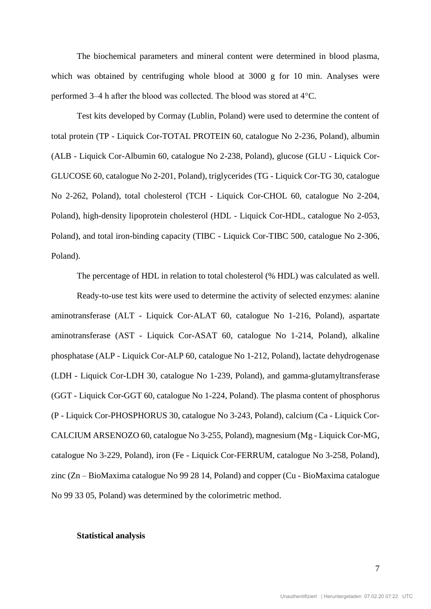The biochemical parameters and mineral content were determined in blood plasma, which was obtained by centrifuging whole blood at 3000 g for 10 min. Analyses were performed 3–4 h after the blood was collected. The blood was stored at 4°C.

Test kits developed by Cormay (Lublin, Poland) were used to determine the content of total protein (TP - Liquick Cor-TOTAL PROTEIN 60, catalogue No 2-236, Poland), albumin (ALB - Liquick Cor-Albumin 60, catalogue No 2-238, Poland), glucose (GLU - Liquick Cor-GLUCOSE 60, catalogue No 2-201, Poland), triglycerides (TG - Liquick Cor-TG 30, catalogue No 2-262, Poland), total cholesterol (TCH - Liquick Cor-CHOL 60, catalogue No 2-204, Poland), high-density lipoprotein cholesterol (HDL - Liquick Cor-HDL, catalogue No 2-053, Poland), and total iron-binding capacity (TIBC - Liquick Cor-TIBC 500, catalogue No 2-306, Poland).

The percentage of HDL in relation to total cholesterol (% HDL) was calculated as well. Ready-to-use test kits were used to determine the activity of selected enzymes: alanine aminotransferase (ALT - Liquick Cor-ALAT 60, catalogue No 1-216, Poland), aspartate aminotransferase (AST - Liquick Cor-ASAT 60, catalogue No 1-214, Poland), alkaline phosphatase (ALP - Liquick Cor-ALP 60, catalogue No 1-212, Poland), lactate dehydrogenase (LDH - Liquick Cor-LDH 30, catalogue No 1-239, Poland), and gamma-glutamyltransferase (GGT - Liquick Cor-GGT 60, catalogue No 1-224, Poland). The plasma content of phosphorus (P - Liquick Cor-PHOSPHORUS 30, catalogue No 3-243, Poland), calcium (Ca - Liquick Cor-CALCIUM ARSENOZO 60, catalogue No 3-255, Poland), magnesium (Mg - Liquick Cor-MG, catalogue No 3-229, Poland), iron (Fe - Liquick Cor-FERRUM, catalogue No 3-258, Poland), zinc (Zn – BioMaxima catalogue No 99 28 14, Poland) and copper (Cu - BioMaxima catalogue No 99 33 05, Poland) was determined by the colorimetric method.

#### **Statistical analysis**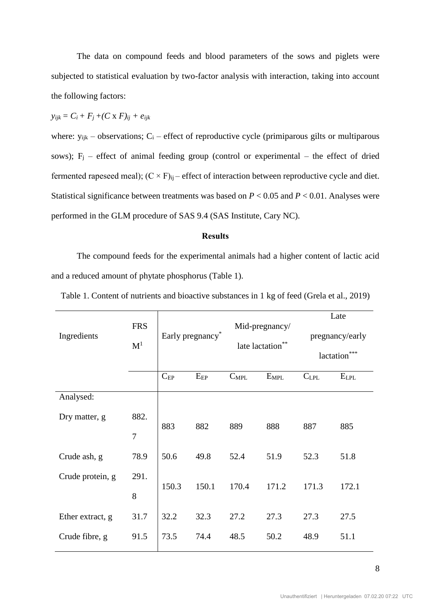The data on compound feeds and blood parameters of the sows and piglets were subjected to statistical evaluation by two-factor analysis with interaction, taking into account the following factors:

$$
y_{ijk} = C_i + F_j + (C \times F)_{ij} + e_{ijk}
$$

where:  $y_{ijk}$  – observations;  $C_i$  – effect of reproductive cycle (primiparous gilts or multiparous sows);  $F_j$  – effect of animal feeding group (control or experimental – the effect of dried fermented rapeseed meal);  $(C \times F)_{ii}$  – effect of interaction between reproductive cycle and diet. Statistical significance between treatments was based on *P* < 0.05 and *P* < 0.01. Analyses were performed in the GLM procedure of SAS 9.4 (SAS Institute, Cary NC).

## **Results**

The compound feeds for the experimental animals had a higher content of lactic acid and a reduced amount of phytate phosphorus (Table 1).

|                  |                              |                  |          |                                  | Late      |                  |           |  |
|------------------|------------------------------|------------------|----------|----------------------------------|-----------|------------------|-----------|--|
| Ingredients      | <b>FRS</b><br>$\mathbf{M}^1$ | Early pregnancy* |          | Mid-pregnancy/<br>late lactation |           | pregnancy/early  |           |  |
|                  |                              |                  |          |                                  |           | ***<br>lactation |           |  |
|                  |                              | $C_{EP}$         | $E_{EP}$ | $C_{MPL}$                        | $E_{MPL}$ | $C_{LPL}$        | $E_{LPL}$ |  |
| Analysed:        |                              |                  |          |                                  |           |                  |           |  |
| Dry matter, g    | 882.                         | 883              | 882      | 889                              | 888       | 887              | 885       |  |
|                  | $\overline{7}$               |                  |          |                                  |           |                  |           |  |
| Crude ash, g     | 78.9                         | 50.6             | 49.8     | 52.4                             | 51.9      | 52.3             | 51.8      |  |
| Crude protein, g | 291.                         | 150.3            | 150.1    | 170.4                            | 171.2     | 171.3            | 172.1     |  |
|                  | 8                            |                  |          |                                  |           |                  |           |  |
| Ether extract, g | 31.7                         | 32.2             | 32.3     | 27.2                             | 27.3      | 27.3             | 27.5      |  |
| Crude fibre, g   | 91.5                         | 73.5             | 74.4     | 48.5                             | 50.2      | 48.9             | 51.1      |  |

Table 1. Content of nutrients and bioactive substances in 1 kg of feed (Grela et al., 2019)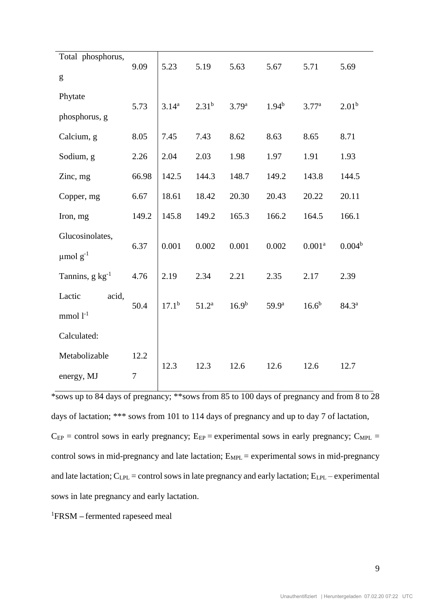|       | 5.69                                                                  |
|-------|-----------------------------------------------------------------------|
|       | 2.01 <sup>b</sup>                                                     |
|       |                                                                       |
| 8.65  | 8.71                                                                  |
| 1.91  | 1.93                                                                  |
| 143.8 | 144.5                                                                 |
| 20.22 | 20.11                                                                 |
| 164.5 | 166.1                                                                 |
|       |                                                                       |
|       | $0.004^b$                                                             |
| 2.17  | 2.39                                                                  |
|       |                                                                       |
|       | 84.3 <sup>a</sup>                                                     |
|       |                                                                       |
|       |                                                                       |
|       | 12.7                                                                  |
|       | 5.71<br>3.77 <sup>a</sup><br>0.001 <sup>a</sup><br>$16.6^{b}$<br>12.6 |

\*sows up to 84 days of pregnancy; \*\*sows from 85 to 100 days of pregnancy and from 8 to 28 days of lactation; \*\*\* sows from 101 to 114 days of pregnancy and up to day 7 of lactation,  $C_{EP}$  = control sows in early pregnancy;  $E_{EP}$  = experimental sows in early pregnancy;  $C_{MPL}$  = control sows in mid-pregnancy and late lactation;  $E_{MPL}$  = experimental sows in mid-pregnancy and late lactation;  $C_{LPL}$  = control sows in late pregnancy and early lactation;  $E_{LPL}$  – experimental sows in late pregnancy and early lactation.

<sup>1</sup>FRSM **–** fermented rapeseed meal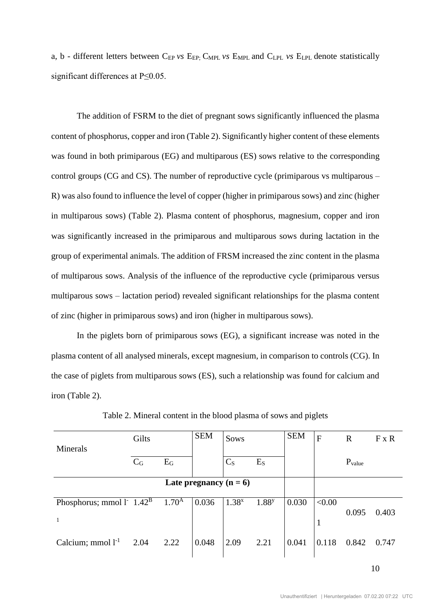a, b - different letters between C<sub>EP</sub> *vs* E<sub>EP</sub>; C<sub>MPL</sub> *vs* E<sub>MPL</sub> and C<sub>LPL</sub> *vs* E<sub>LPL</sub> denote statistically significant differences at P≤0.05.

The addition of FSRM to the diet of pregnant sows significantly influenced the plasma content of phosphorus, copper and iron (Table 2). Significantly higher content of these elements was found in both primiparous (EG) and multiparous (ES) sows relative to the corresponding control groups (CG and CS). The number of reproductive cycle (primiparous vs multiparous  $-$ R) was also found to influence the level of copper (higher in primiparous sows) and zinc (higher in multiparous sows) (Table 2). Plasma content of phosphorus, magnesium, copper and iron was significantly increased in the primiparous and multiparous sows during lactation in the group of experimental animals. The addition of FRSM increased the zinc content in the plasma of multiparous sows. Analysis of the influence of the reproductive cycle (primiparous versus multiparous sows – lactation period) revealed significant relationships for the plasma content of zinc (higher in primiparous sows) and iron (higher in multiparous sows).

In the piglets born of primiparous sows (EG), a significant increase was noted in the plasma content of all analysed minerals, except magnesium, in comparison to controls (CG). In the case of piglets from multiparous sows (ES), such a relationship was found for calcium and iron (Table 2).

| Minerals                                                 | Gilts          |            | <b>SEM</b>               | Sows           |                   | <b>SEM</b> | F                      | $\mathbf R$ | F X R |
|----------------------------------------------------------|----------------|------------|--------------------------|----------------|-------------------|------------|------------------------|-------------|-------|
|                                                          | C <sub>G</sub> | $E_G$      |                          | C <sub>S</sub> | E <sub>S</sub>    |            |                        | $P_{value}$ |       |
|                                                          |                |            | Late pregnancy $(n = 6)$ |                |                   |            |                        |             |       |
| Phosphorus; mmol $l^2$ 1.42 <sup>B</sup><br>$\mathbf{1}$ |                | $1.70^{A}$ | 0.036                    | $1.38^{x}$     | 1.88 <sup>y</sup> | 0.030      | < 0.00<br>$\mathbf{1}$ | 0.095       | 0.403 |
| Calcium; mmol $l^{-1}$                                   | 2.04           | 2.22       | 0.048                    | 2.09           | 2.21              | 0.041      | 0.118                  | 0.842       | 0.747 |

Table 2. Mineral content in the blood plasma of sows and piglets

10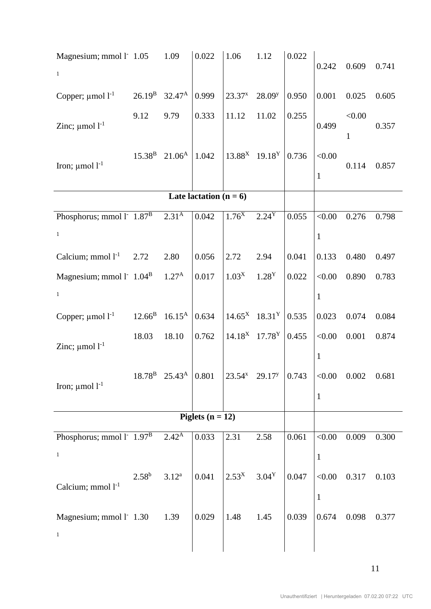| Magnesium; mmol l <sup>-</sup> 1.05<br>$\mathbf{1}$               |                 | 1.09                                     | 0.022                    | 1.06                                     | 1.12               | 0.022 | 0.242                          | 0.609       | 0.741 |
|-------------------------------------------------------------------|-----------------|------------------------------------------|--------------------------|------------------------------------------|--------------------|-------|--------------------------------|-------------|-------|
| Copper; $\mu$ mol $l^{-1}$                                        | $26.19^{B}$     | $32.47^{\rm A}$                          | 0.999                    | $23.37^{x}$                              | 28.09 <sup>y</sup> | 0.950 | 0.001                          | 0.025       | 0.605 |
| Zinc; $\mu$ mol $l^{-1}$                                          | 9.12            | 9.79                                     | 0.333                    | 11.12                                    | 11.02              | 0.255 | 0.499                          | < 0.00<br>1 | 0.357 |
| Iron; $\mu$ mol $l^{-1}$                                          | $15.38^{B}$     | $21.06^{\rm A}$                          | 1.042                    | $13.88^X$ 19.18 <sup>Y</sup>             |                    | 0.736 | < 0.00<br>1                    | 0.114       | 0.857 |
|                                                                   |                 |                                          | Late lactation $(n = 6)$ |                                          |                    |       |                                |             |       |
| Phosphorus; mmol $1^{\circ}$ 1.87 <sup>B</sup><br>$\mathbf{1}$    |                 | 2.31 <sup>Å</sup>                        | 0.042                    | $1.76^{\rm X}$                           | $2.24^{Y}$         | 0.055 | < 0.00<br>$\mathbf{1}$         | 0.276       | 0.798 |
| Calcium; mmol $1-1$                                               | 2.72            | 2.80                                     | 0.056                    | 2.72                                     | 2.94               | 0.041 | 0.133                          | 0.480       | 0.497 |
| Magnesium; mmol l' $1.04B$ 1.27 <sup>A</sup><br>$\mathbf{1}$      |                 |                                          | 0.017                    | 1.03 <sup>X</sup>                        | 1.28 <sup>Y</sup>  | 0.022 | < 0.00<br>$\mathbf{1}$         | 0.890       | 0.783 |
| Copper; $\mu$ mol $l^{-1}$                                        | $12.66^{\rm B}$ | $16.15^{\rm A}$                          | 0.634                    | $14.65^{\text{X}}$ 18.31 <sup>Y</sup>    |                    | 0.535 | 0.023                          | 0.074       | 0.084 |
| Zinc; $\mu$ mol $l^{-1}$                                          | 18.03           | 18.10                                    | 0.762                    | $14.18^X$ 17.78 <sup>Y</sup>             |                    | 0.455 | < 0.00<br>$\mathbf{1}$         | 0.001       | 0.874 |
| Iron; $\mu$ mol $l^{-1}$                                          |                 | $18.78^{\rm B}$ 25.43 <sup>A</sup> 0.801 |                          | $\left  \frac{23.54^x}{29.17^y} \right $ |                    | 0.743 | $< 0.00$ 0.002<br>$\mathbf{1}$ |             | 0.681 |
|                                                                   |                 |                                          | Piglets ( $n = 12$ )     |                                          |                    |       |                                |             |       |
| Phosphorus; mmol $l^{\text{-}}$ 1.97 <sup>B</sup><br>$\mathbf{1}$ |                 | $2.42^{A}$                               | 0.033                    | 2.31                                     | 2.58               | 0.061 | < 0.00<br>$\mathbf{1}$         | 0.009       | 0.300 |
| Calcium; mmol $l^{-1}$                                            | $2.58^{b}$      | $3.12^{a}$                               | 0.041                    | $2.53^{X}$                               | $3.04^Y$           | 0.047 | < 0.00<br>$\mathbf{1}$         | 0.317       | 0.103 |
| Magnesium; mmol l <sup>-</sup> 1.30<br>$\,1\,$                    |                 | 1.39                                     | 0.029                    | 1.48                                     | 1.45               | 0.039 | 0.674                          | 0.098       | 0.377 |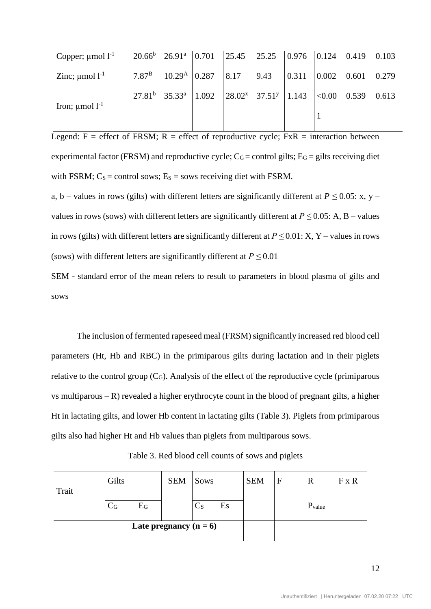| Copper; $\mu$ mol l <sup>-1</sup> 20.66 <sup>b</sup> 26.91 <sup>a</sup>   0.701   25.45 25.25   0.976   0.124 0.419 0.103 |                                                                                                  |  |  |  |  |
|---------------------------------------------------------------------------------------------------------------------------|--------------------------------------------------------------------------------------------------|--|--|--|--|
| Zinc; $\mu$ mol l <sup>-1</sup> 7.87 <sup>B</sup> 10.29 <sup>A</sup> 0.287   8.17 9.43   0.311   0.002 0.601 0.279        |                                                                                                  |  |  |  |  |
| Iron; $\mu$ mol l <sup>-1</sup>                                                                                           | $27.81^b$ 35.33 <sup>a</sup> 1.092 28.02 <sup>x</sup> 37.51 <sup>y</sup> 1.143 <0.00 0.539 0.613 |  |  |  |  |
|                                                                                                                           |                                                                                                  |  |  |  |  |

Legend:  $F =$  effect of FRSM;  $R =$  effect of reproductive cycle;  $FxR =$  interaction between experimental factor (FRSM) and reproductive cycle;  $C_G$  = control gilts;  $E_G$  = gilts receiving diet with FSRM;  $C_s$  = control sows;  $E_s$  = sows receiving diet with FSRM.

a, b – values in rows (gilts) with different letters are significantly different at  $P \le 0.05$ : x, y – values in rows (sows) with different letters are significantly different at  $P \le 0.05$ : A, B – values in rows (gilts) with different letters are significantly different at *P ≤* 0.01: X, Y – values in rows (sows) with different letters are significantly different at  $P \le 0.01$ 

SEM - standard error of the mean refers to result to parameters in blood plasma of gilts and sows

The inclusion of fermented rapeseed meal (FRSM) significantly increased red blood cell parameters (Ht, Hb and RBC) in the primiparous gilts during lactation and in their piglets relative to the control group  $(C_G)$ . Analysis of the effect of the reproductive cycle (primiparous vs multiparous  $-R$ ) revealed a higher erythrocyte count in the blood of pregnant gilts, a higher Ht in lactating gilts, and lower Hb content in lactating gilts (Table 3). Piglets from primiparous gilts also had higher Ht and Hb values than piglets from multiparous sows.

|  |  |  |  | Table 3. Red blood cell counts of sows and piglets |  |  |  |
|--|--|--|--|----------------------------------------------------|--|--|--|
|--|--|--|--|----------------------------------------------------|--|--|--|

| Trait | Gilts                     |                          | <b>SEM</b> | <b>Sows</b>             |    | <b>SEM</b> | F | R                  | $F \times R$ |
|-------|---------------------------|--------------------------|------------|-------------------------|----|------------|---|--------------------|--------------|
|       | $\mathrm{C}_{\mathrm{G}}$ | $\mathrm{E_{G}}$         |            | $\mathbb{C}_\mathrm{S}$ | Es |            |   | P <sub>value</sub> |              |
|       |                           | Late pregnancy $(n = 6)$ |            |                         |    |            |   |                    |              |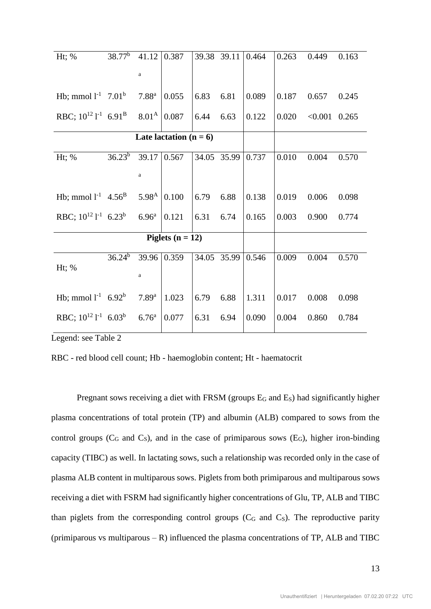| Ht; %                                            | $38.77^b$   | 41.12                | 0.387                    | 39.38 39.11 |             | 0.464 | 0.263 | 0.449   | 0.163 |
|--------------------------------------------------|-------------|----------------------|--------------------------|-------------|-------------|-------|-------|---------|-------|
|                                                  |             |                      |                          |             |             |       |       |         |       |
|                                                  |             | $\mathbf{a}$         |                          |             |             |       |       |         |       |
| Hb; mmol $1^{-1}$ 7.01 <sup>b</sup>              |             | 7.88 <sup>a</sup>    | 0.055                    | 6.83        | 6.81        | 0.089 | 0.187 | 0.657   | 0.245 |
|                                                  |             |                      |                          |             |             |       |       |         |       |
| RBC; $10^{12}$ l <sup>-1</sup> 6.91 <sup>B</sup> |             | $8.01^{\rm A}$ 0.087 |                          | 6.44        | 6.63        | 0.122 | 0.020 | < 0.001 | 0.265 |
|                                                  |             |                      |                          |             |             |       |       |         |       |
|                                                  |             |                      | Late lactation $(n = 6)$ |             |             |       |       |         |       |
| Ht; $%$                                          | $36.23^{b}$ | 39.17                | 0.567                    | 34.05 35.99 |             | 0.737 | 0.010 | 0.004   | 0.570 |
|                                                  |             |                      |                          |             |             |       |       |         |       |
|                                                  |             | $\mathbf{a}$         |                          |             |             |       |       |         |       |
|                                                  |             |                      |                          |             |             |       |       |         |       |
| Hb; mmol $l^{-1}$ 4.56 <sup>B</sup>              |             | $5.98^{A}$           | 0.100                    | 6.79        | 6.88        | 0.138 | 0.019 | 0.006   | 0.098 |
| RBC; $10^{12}$ $1^{-1}$ 6.23 <sup>b</sup>        |             | 6.96 <sup>a</sup>    | 0.121                    | 6.31        | 6.74        | 0.165 | 0.003 | 0.900   | 0.774 |
|                                                  |             |                      |                          |             |             |       |       |         |       |
|                                                  |             |                      | Piglets $(n = 12)$       |             |             |       |       |         |       |
|                                                  |             |                      |                          |             |             |       |       |         |       |
|                                                  | $36.24^b$   |                      | 39.96 0.359              |             | 34.05 35.99 | 0.546 | 0.009 | 0.004   | 0.570 |
| Ht; $%$                                          |             | $\mathbf{a}$         |                          |             |             |       |       |         |       |
|                                                  |             |                      |                          |             |             |       |       |         |       |
| Hb; mmol $l^{-1}$ 6.92 <sup>b</sup>              |             | $7.89^{a}$           | 1.023                    | 6.79        | 6.88        | 1.311 | 0.017 | 0.008   | 0.098 |
|                                                  |             |                      |                          |             |             |       |       |         |       |
| RBC; $10^{12}$ $1^{-1}$ 6.03 <sup>b</sup>        |             | 6.76 <sup>a</sup>    | 0.077                    | 6.31        | 6.94        | 0.090 | 0.004 | 0.860   | 0.784 |
|                                                  |             |                      |                          |             |             |       |       |         |       |

Legend: see Table 2

RBC - red blood cell count; Hb - haemoglobin content; Ht - haematocrit

Pregnant sows receiving a diet with FRSM (groups E<sub>G</sub> and E<sub>S</sub>) had significantly higher plasma concentrations of total protein (TP) and albumin (ALB) compared to sows from the control groups ( $C_G$  and  $C_S$ ), and in the case of primiparous sows ( $E_G$ ), higher iron-binding capacity (TIBC) as well. In lactating sows, such a relationship was recorded only in the case of plasma ALB content in multiparous sows. Piglets from both primiparous and multiparous sows receiving a diet with FSRM had significantly higher concentrations of Glu, TP, ALB and TIBC than piglets from the corresponding control groups  $(C_G$  and  $C_S$ ). The reproductive parity (primiparous vs multiparous  $-R$ ) influenced the plasma concentrations of TP, ALB and TIBC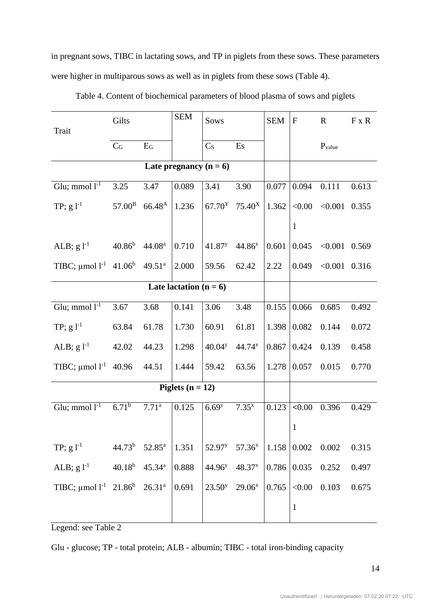in pregnant sows, TIBC in lactating sows, and TP in piglets from these sows. These parameters were higher in multiparous sows as well as in piglets from these sows (Table 4).

| Trait                                              | Gilts              |                    | <b>SEM</b>               | Sows                |                                       | <b>SEM</b> | $\mathbf F$  | $\mathbf R$     | $F \times R$ |
|----------------------------------------------------|--------------------|--------------------|--------------------------|---------------------|---------------------------------------|------------|--------------|-----------------|--------------|
|                                                    | $C_G$              | $E_G$              |                          | C <sub>S</sub>      | Es                                    |            |              | $P_{value}$     |              |
|                                                    |                    |                    | Late pregnancy $(n = 6)$ |                     |                                       |            |              |                 |              |
| Glu; mmol $\overline{l^{-1}}$                      | 3.25               | 3.47               | 0.089                    | 3.41                | 3.90                                  | 0.077      | 0.094        | 0.111           | 0.613        |
| TP; $g l^{-1}$                                     | $57.00^{\rm B}$    | $66.48^{A}$        | 1.236                    |                     | $67.70^{\text{Y}}$ 75.40 <sup>X</sup> | 1.362      | < 0.00       | < 0.001         | 0.355        |
|                                                    |                    |                    |                          |                     |                                       |            | $\mathbf{1}$ |                 |              |
| ALB; $g l^{-1}$                                    | $40.86^{\rm b}$    | 44.08 <sup>a</sup> | 0.710                    | $41.87^y$           | $44.86^{x}$                           | 0.601      | 0.045        | $< 0.001$ 0.569 |              |
| TIBC; $\mu$ mol l <sup>-1</sup> 41.06 <sup>b</sup> |                    | $49.51^a$          | 2.000                    | 59.56               | 62.42                                 | 2.22       | 0.049        | < 0.001         | 0.316        |
|                                                    |                    |                    | Late lactation $(n = 6)$ |                     |                                       |            |              |                 |              |
| Glu; mmol $l^{-1}$                                 | 3.67               | 3.68               | 0.141                    | 3.06                | 3.48                                  | 0.155      | 0.066        | 0.685           | 0.492        |
| TP; $g l^{-1}$                                     | 63.84              | 61.78              | 1.730                    | 60.91               | 61.81                                 | 1.398      | 0.082        | 0.144           | 0.072        |
| ALB; $g l^{-1}$                                    | 42.02              | 44.23              | 1.298                    | 40.04 <sup>y</sup>  | $44.74^{x}$                           | 0.867      | 0.424        | 0.139           | 0.458        |
| TIBC; $\mu$ mol l <sup>-1</sup> 40.96              |                    | 44.51              | 1.444                    | 59.42               | 63.56                                 | 1.278      | 0.057        | 0.015           | 0.770        |
|                                                    |                    |                    | Piglets $(n = 12)$       |                     |                                       |            |              |                 |              |
| Glu; mmol $l^{-1}$                                 | $6.71^{b}$         | $7.71^{\rm a}$     | 0.125                    | $6.69$ <sup>y</sup> | $7.35^{x}$                            | 0.123      | < 0.00       | 0.396           | 0.429        |
|                                                    |                    |                    |                          |                     |                                       |            | $\mathbf{1}$ |                 |              |
| TP; $g l^{-1}$                                     | 44.73 <sup>b</sup> | $52.85^{\rm a}$    | 1.351                    | 52.97 <sup>y</sup>  | $57.36^x$                             | 1.158      | 0.002        | 0.002           | 0.315        |
| ALB; $g l^{-1}$                                    | $40.18^{b}$        | $45.34^{a}$        | 0.888                    | 44.96 <sup>y</sup>  | 48.37 <sup>x</sup>                    | 0.786      | 0.035        | 0.252           | 0.497        |
| TIBC; $\mu$ mol l <sup>-1</sup> 21.86 <sup>b</sup> |                    | $26.31^{a}$        | 0.691                    | $23.50^y$           | $29.06^x$                             | 0.765      | < 0.00       | 0.103           | 0.675        |
|                                                    |                    |                    |                          |                     |                                       |            | $\mathbf{1}$ |                 |              |

Table 4. Content of biochemical parameters of blood plasma of sows and piglets

Legend: see Table 2

Glu - glucose; TP - total protein; ALB - albumin; TIBC - total iron-binding capacity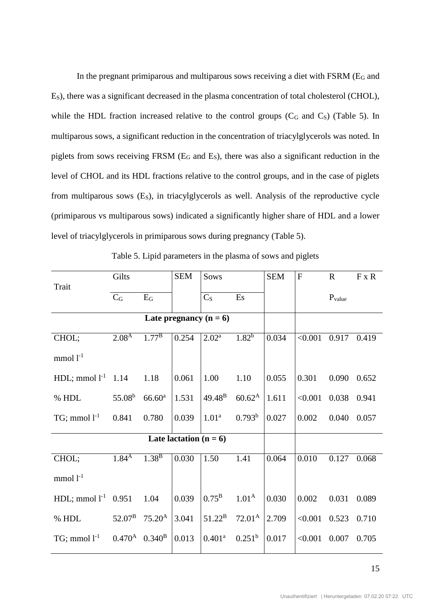In the pregnant primiparous and multiparous sows receiving a diet with FSRM ( $E_G$  and ES), there was a significant decreased in the plasma concentration of total cholesterol (CHOL), while the HDL fraction increased relative to the control groups  $(C_G$  and  $C_S)$  (Table 5). In multiparous sows, a significant reduction in the concentration of triacylglycerols was noted. In piglets from sows receiving FRSM (E<sup>G</sup> and ES), there was also a significant reduction in the level of CHOL and its HDL fractions relative to the control groups, and in the case of piglets from multiparous sows  $(E<sub>S</sub>)$ , in triacylglycerols as well. Analysis of the reproductive cycle (primiparous vs multiparous sows) indicated a significantly higher share of HDL and a lower level of triacylglycerols in primiparous sows during pregnancy (Table 5).

|                          | Gilts                              |                    | <b>SEM</b>               | Sows                     |                    | <b>SEM</b> | $\overline{F}$ | $\mathbf{R}$ | $F \times R$ |
|--------------------------|------------------------------------|--------------------|--------------------------|--------------------------|--------------------|------------|----------------|--------------|--------------|
| Trait                    | $C_G$                              | $E_G$              |                          | C <sub>S</sub>           | Es                 |            |                | $P_{value}$  |              |
|                          |                                    |                    |                          | Late pregnancy $(n = 6)$ |                    |            |                |              |              |
| CHOL;                    | $2.08^{A}$                         | $1.77^{B}$         | 0.254                    | $2.02^{\rm a}$           | $1.82^{b}$         | 0.034      | < 0.001        | 0.917        | 0.419        |
| $mmol 1-1$               |                                    |                    |                          |                          |                    |            |                |              |              |
| HDL; mmol $l^{-1}$ 1.14  |                                    | 1.18               | 0.061                    | 1.00                     | 1.10               | 0.055      | 0.301          | 0.090        | 0.652        |
| % HDL                    | $55.08^b$                          | 66.60 <sup>a</sup> | 1.531                    | $49.48^{B}$              | $60.62^{\rm A}$    | 1.611      | < 0.001        | 0.038        | 0.941        |
| $TG$ ; mmol $l^{-1}$     | 0.841                              | 0.780              | 0.039                    | 1.01 <sup>a</sup>        | 0.793 <sup>b</sup> | 0.027      | 0.002          | 0.040        | 0.057        |
|                          |                                    |                    | Late lactation $(n = 6)$ |                          |                    |            |                |              |              |
| CHOL;                    | 1.84 <sup>A</sup>                  | $1.38^{B}$         | 0.030                    | 1.50                     | 1.41               | 0.064      | 0.010          | 0.127        | 0.068        |
| $mmol$ $l^{-1}$          |                                    |                    |                          |                          |                    |            |                |              |              |
| HDL; mmol $l^{-1}$ 0.951 |                                    | 1.04               | 0.039                    | $0.75^{\rm B}$           | 1.01 <sup>A</sup>  | 0.030      | 0.002          | 0.031        | 0.089        |
| % HDL                    | $52.07^{\rm B}$                    | $75.20^{\rm A}$    | 3.041                    | $51.22^{\rm B}$          | $72.01^{\rm A}$    | 2.709      | < 0.001        | 0.523        | 0.710        |
| $TG$ ; mmol $l^{-1}$     | $0.470^{\rm A}$ 0.340 <sup>B</sup> |                    | 0.013                    | 0.401 <sup>a</sup>       | $0.251^b$          | 0.017      | < 0.001        | 0.007        | 0.705        |

Table 5. Lipid parameters in the plasma of sows and piglets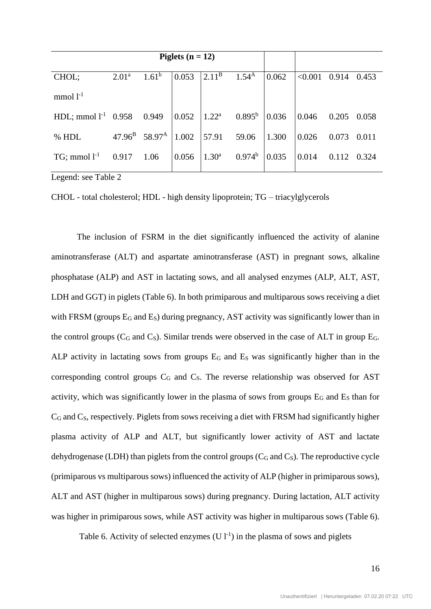|                          |                   |                                    | Piglets $(n = 12)$ |                             |            |       |         |       |       |
|--------------------------|-------------------|------------------------------------|--------------------|-----------------------------|------------|-------|---------|-------|-------|
| CHOL;                    | 2.01 <sup>a</sup> | $1.61^b$                           | 0.053              | $2.11^{\rm B}$              | $1.54^{A}$ | 0.062 | < 0.001 | 0.914 | 0.453 |
| $mmol 1-1$               |                   |                                    |                    |                             |            |       |         |       |       |
| HDL; mmol $l^{-1}$ 0.958 |                   | 0.949                              | 0.052              | $1.22^a$ 0.895 <sup>b</sup> |            | 0.036 | 0.046   | 0.205 | 0.058 |
| % HDL                    |                   | $47.96^{\rm B}$ 58.97 <sup>A</sup> | 1.002              | 57.91                       | 59.06      | 1.300 | 0.026   | 0.073 | 0.011 |
| $TG$ ; mmol $l^{-1}$     | 0.917             | 1.06                               | 0.056              | 1.30 <sup>a</sup>           | $0.974^b$  | 0.035 | 0.014   | 0.112 | 0.324 |

Legend: see Table 2

CHOL - total cholesterol; HDL - high density lipoprotein; TG – triacylglycerols

The inclusion of FSRM in the diet significantly influenced the activity of alanine aminotransferase (ALT) and aspartate aminotransferase (AST) in pregnant sows, alkaline phosphatase (ALP) and AST in lactating sows, and all analysed enzymes (ALP, ALT, AST, LDH and GGT) in piglets (Table 6). In both primiparous and multiparous sows receiving a diet with FRSM (groups  $E_G$  and  $E_S$ ) during pregnancy, AST activity was significantly lower than in the control groups ( $C_G$  and  $C_S$ ). Similar trends were observed in the case of ALT in group  $E_G$ . ALP activity in lactating sows from groups  $E_G$  and  $E_S$  was significantly higher than in the corresponding control groups  $C_G$  and  $C_S$ . The reverse relationship was observed for AST activity, which was significantly lower in the plasma of sows from groups  $E_G$  and  $E_S$  than for  $C_G$  and  $C_S$ , respectively. Piglets from sows receiving a diet with FRSM had significantly higher plasma activity of ALP and ALT, but significantly lower activity of AST and lactate dehydrogenase (LDH) than piglets from the control groups  $(C_G$  and  $C_S$ ). The reproductive cycle (primiparous vs multiparous sows) influenced the activity of ALP (higher in primiparous sows), ALT and AST (higher in multiparous sows) during pregnancy. During lactation, ALT activity was higher in primiparous sows, while AST activity was higher in multiparous sows (Table 6).

Table 6. Activity of selected enzymes  $(Ul^{-1})$  in the plasma of sows and piglets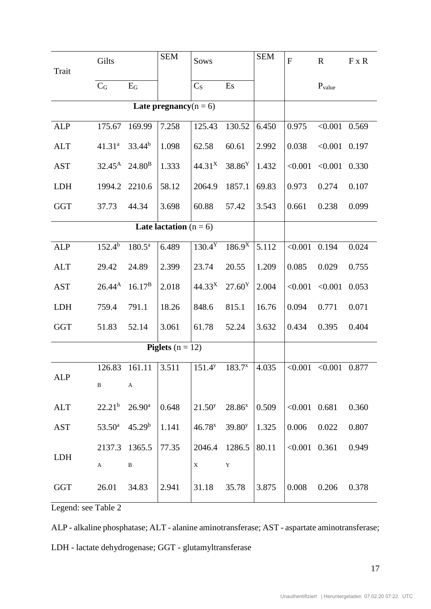| Trait      | Gilts                       |                      | <b>SEM</b>                      | Sows               |                    | <b>SEM</b> | $\mathbf{F}$    | $\mathbb{R}$              | $F \times R$ |
|------------|-----------------------------|----------------------|---------------------------------|--------------------|--------------------|------------|-----------------|---------------------------|--------------|
|            | $C_G$                       | $E_G$                |                                 | C <sub>S</sub>     | Es                 |            |                 | $P_{value}$               |              |
|            |                             |                      | Late pregnancy( $n = 6$ )       |                    |                    |            |                 |                           |              |
|            |                             |                      |                                 |                    |                    |            |                 |                           |              |
| <b>ALP</b> | 175.67                      | 169.99               | 7.258                           | 125.43             | 130.52             | 6.450      | 0.975           | < 0.001                   | 0.569        |
| <b>ALT</b> | 41.31 <sup>a</sup>          | $33.44^{b}$          | 1.098                           | 62.58              | 60.61              | 2.992      | 0.038           | < 0.001                   | 0.197        |
| <b>AST</b> | $32.45^{\rm A}$             | 24.80 <sup>B</sup>   | 1.333                           | 44.31 <sup>X</sup> | 38.86 <sup>Y</sup> | 1.432      | < 0.001         | < 0.001                   | 0.330        |
| <b>LDH</b> | 1994.2                      | 2210.6               | 58.12                           | 2064.9             | 1857.1             | 69.83      | 0.973           | 0.274                     | 0.107        |
| <b>GGT</b> | 37.73                       | 44.34                | 3.698                           | 60.88              | 57.42              | 3.543      | 0.661           | 0.238                     | 0.099        |
|            |                             |                      | <b>Late lactation</b> $(n = 6)$ |                    |                    |            |                 |                           |              |
| <b>ALP</b> | $152.4^{b}$                 | $180.\overline{5^a}$ | 6.489                           | $130.4^{\rm Y}$    | $186.9^{X}$        | 5.112      | $< 0.001$ 0.194 |                           | 0.024        |
| <b>ALT</b> | 29.42                       | 24.89                | 2.399                           | 23.74              | 20.55              | 1.209      | 0.085           | 0.029                     | 0.755        |
| <b>AST</b> | $26.44^{A}$                 | $16.17^{\rm B}$      | 2.018                           | 44.33 <sup>X</sup> | 27.60 <sup>Y</sup> | 2.004      | < 0.001         | < 0.001                   | 0.053        |
| <b>LDH</b> | 759.4                       | 791.1                | 18.26                           | 848.6              | 815.1              | 16.76      | 0.094           | 0.771                     | 0.071        |
| <b>GGT</b> | 51.83                       | 52.14                | 3.061                           | 61.78              | 52.24              | 3.632      | 0.434           | 0.395                     | 0.404        |
|            |                             |                      | <b>Piglets</b> $(n = 12)$       |                    |                    |            |                 |                           |              |
|            | 126.83                      | 161.11               | 3.511                           | $151.4^y$          | $183.7^{x}$        | 4.035      |                 | $< 0.001$ $< 0.001$ 0.877 |              |
| ALP        | $\, {\bf B}$                | A                    |                                 |                    |                    |            |                 |                           |              |
| <b>ALT</b> | $22.21^{\rm b}$             | $26.90^{\rm a}$      | 0.648                           | $21.50^y$          | $28.86^x$          | 0.509      | $< 0.001$ 0.681 |                           | 0.360        |
| <b>AST</b> | $53.50^a$                   | 45.29 <sup>b</sup>   | 1.141                           | $46.78^{x}$        | 39.80 <sup>y</sup> | 1.325      | 0.006           | 0.022                     | 0.807        |
|            | 2137.3                      | 1365.5               | 77.35                           | 2046.4             | 1286.5             | 80.11      | $< 0.001$ 0.361 |                           | 0.949        |
| <b>LDH</b> | A                           | $\, {\bf B}$         |                                 | $\mathbf X$        | $\mathbf Y$        |            |                 |                           |              |
| <b>GGT</b> | 26.01<br>$T_0 h l_0 \Omega$ | 34.83                | 2.941                           | 31.18              | 35.78              | 3.875      | 0.008           | 0.206                     | 0.378        |

Legend: see Table 2

ALP - alkaline phosphatase; ALT - alanine aminotransferase; AST - aspartate aminotransferase; LDH - lactate dehydrogenase; GGT - glutamyltransferase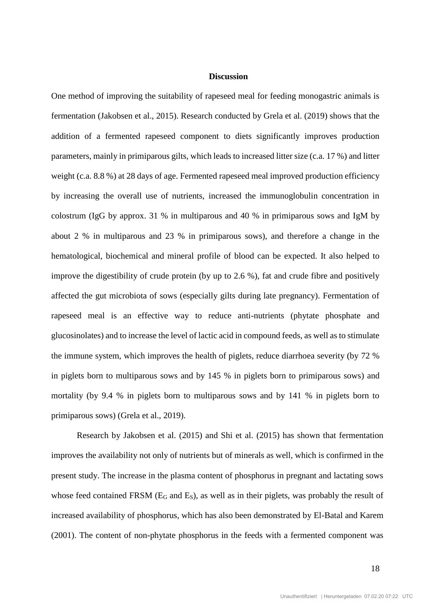## **Discussion**

One method of improving the suitability of rapeseed meal for feeding monogastric animals is fermentation (Jakobsen et al., 2015). Research conducted by Grela et al. (2019) shows that the addition of a fermented rapeseed component to diets significantly improves production parameters, mainly in primiparous gilts, which leads to increased litter size (c.a. 17 %) and litter weight (c.a. 8.8 %) at 28 days of age. Fermented rapeseed meal improved production efficiency by increasing the overall use of nutrients, increased the immunoglobulin concentration in colostrum (IgG by approx. 31 % in multiparous and 40 % in primiparous sows and IgM by about 2 % in multiparous and 23 % in primiparous sows), and therefore a change in the hematological, biochemical and mineral profile of blood can be expected. It also helped to improve the digestibility of crude protein (by up to 2.6 %), fat and crude fibre and positively affected the gut microbiota of sows (especially gilts during late pregnancy). Fermentation of rapeseed meal is an effective way to reduce anti-nutrients (phytate phosphate and glucosinolates) and to increase the level of lactic acid in compound feeds, as well as to stimulate the immune system, which improves the health of piglets, reduce diarrhoea severity (by 72 % in piglets born to multiparous sows and by 145 % in piglets born to primiparous sows) and mortality (by 9.4 % in piglets born to multiparous sows and by 141 % in piglets born to primiparous sows) (Grela et al., 2019).

Research by Jakobsen et al. (2015) and Shi et al. (2015) has shown that fermentation improves the availability not only of nutrients but of minerals as well, which is confirmed in the present study. The increase in the plasma content of phosphorus in pregnant and lactating sows whose feed contained FRSM (E<sub>G</sub> and E<sub>S</sub>), as well as in their piglets, was probably the result of increased availability of phosphorus, which has also been demonstrated by El-Batal and Karem (2001). The content of non-phytate phosphorus in the feeds with a fermented component was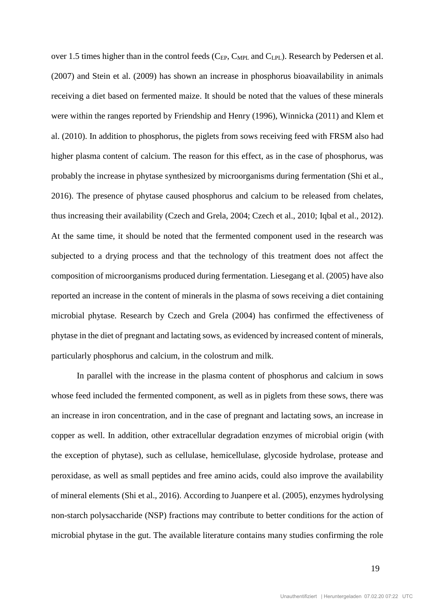over 1.5 times higher than in the control feeds (C<sub>EP</sub>, C<sub>MPL</sub> and C<sub>LPL</sub>). Research by Pedersen et al. (2007) and Stein et al. (2009) has shown an increase in phosphorus bioavailability in animals receiving a diet based on fermented maize. It should be noted that the values of these minerals were within the ranges reported by Friendship and Henry (1996), Winnicka (2011) and Klem et al. (2010). In addition to phosphorus, the piglets from sows receiving feed with FRSM also had higher plasma content of calcium. The reason for this effect, as in the case of phosphorus, was probably the increase in phytase synthesized by microorganisms during fermentation (Shi et al., 2016). The presence of phytase caused phosphorus and calcium to be released from chelates, thus increasing their availability (Czech and Grela, 2004; Czech et al., 2010; Iqbal et al., 2012). At the same time, it should be noted that the fermented component used in the research was subjected to a drying process and that the technology of this treatment does not affect the composition of microorganisms produced during fermentation. Liesegang et al. (2005) have also reported an increase in the content of minerals in the plasma of sows receiving a diet containing microbial phytase. Research by Czech and Grela (2004) has confirmed the effectiveness of phytase in the diet of pregnant and lactating sows, as evidenced by increased content of minerals, particularly phosphorus and calcium, in the colostrum and milk.

In parallel with the increase in the plasma content of phosphorus and calcium in sows whose feed included the fermented component, as well as in piglets from these sows, there was an increase in iron concentration, and in the case of pregnant and lactating sows, an increase in copper as well. In addition, other extracellular degradation enzymes of microbial origin (with the exception of phytase), such as cellulase, hemicellulase, glycoside hydrolase, protease and peroxidase, as well as small peptides and free amino acids, could also improve the availability of mineral elements (Shi et al., 2016). According to Juanpere et al. (2005), enzymes hydrolysing non-starch polysaccharide (NSP) fractions may contribute to better conditions for the action of microbial phytase in the gut. The available literature contains many studies confirming the role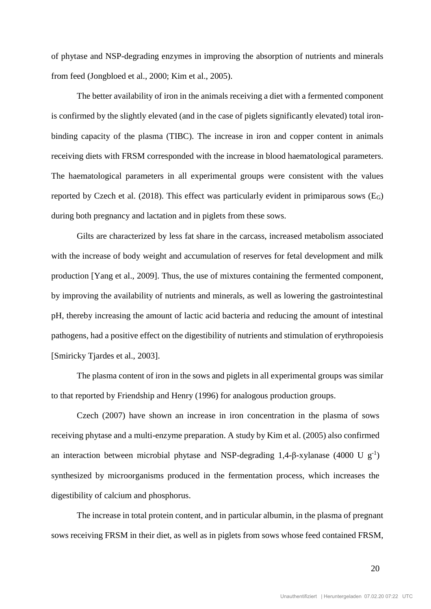of phytase and NSP-degrading enzymes in improving the absorption of nutrients and minerals from feed (Jongbloed et al., 2000; Kim et al., 2005).

The better availability of iron in the animals receiving a diet with a fermented component is confirmed by the slightly elevated (and in the case of piglets significantly elevated) total ironbinding capacity of the plasma (TIBC). The increase in iron and copper content in animals receiving diets with FRSM corresponded with the increase in blood haematological parameters. The haematological parameters in all experimental groups were consistent with the values reported by Czech et al. (2018). This effect was particularly evident in primiparous sows  $(E_G)$ during both pregnancy and lactation and in piglets from these sows.

Gilts are characterized by less fat share in the carcass, increased metabolism associated with the increase of body weight and accumulation of reserves for fetal development and milk production [Yang et al., 2009]. Thus, the use of mixtures containing the fermented component, by improving the availability of nutrients and minerals, as well as lowering the gastrointestinal pH, thereby increasing the amount of lactic acid bacteria and reducing the amount of intestinal pathogens, had a positive effect on the digestibility of nutrients and stimulation of erythropoiesis [Smiricky Tjardes et al., 2003].

The plasma content of iron in the sows and piglets in all experimental groups was similar to that reported by Friendship and Henry (1996) for analogous production groups.

Czech (2007) have shown an increase in iron concentration in the plasma of sows receiving phytase and a multi-enzyme preparation. A study by Kim et al. (2005) also confirmed an interaction between microbial phytase and NSP-degrading 1,4- $\beta$ -xylanase (4000 U g<sup>-1</sup>) synthesized by microorganisms produced in the fermentation process, which increases the digestibility of calcium and phosphorus.

The increase in total protein content, and in particular albumin, in the plasma of pregnant sows receiving FRSM in their diet, as well as in piglets from sows whose feed contained FRSM,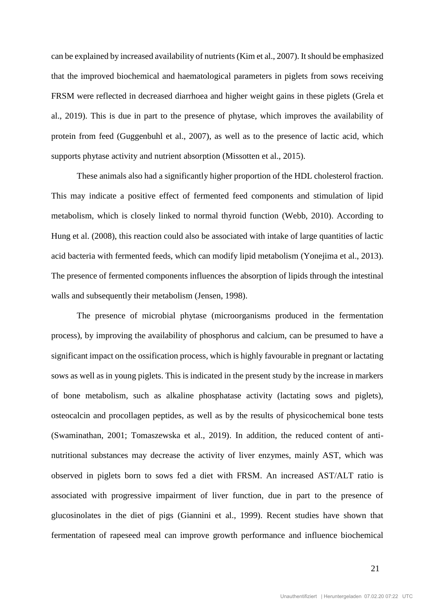can be explained by increased availability of nutrients (Kim et al., 2007). It should be emphasized that the improved biochemical and haematological parameters in piglets from sows receiving FRSM were reflected in decreased diarrhoea and higher weight gains in these piglets (Grela et al., 2019). This is due in part to the presence of phytase, which improves the availability of protein from feed (Guggenbuhl et al., 2007), as well as to the presence of lactic acid, which supports phytase activity and nutrient absorption (Missotten et al., 2015).

These animals also had a significantly higher proportion of the HDL cholesterol fraction. This may indicate a positive effect of fermented feed components and stimulation of lipid metabolism, which is closely linked to normal thyroid function (Webb, 2010). According to Hung et al. (2008), this reaction could also be associated with intake of large quantities of lactic acid bacteria with fermented feeds, which can modify lipid metabolism (Yonejima et al., 2013). The presence of fermented components influences the absorption of lipids through the intestinal walls and subsequently their metabolism (Jensen, 1998).

The presence of microbial phytase (microorganisms produced in the fermentation process), by improving the availability of phosphorus and calcium, can be presumed to have a significant impact on the ossification process, which is highly favourable in pregnant or lactating sows as well as in young piglets. This is indicated in the present study by the increase in markers of bone metabolism, such as alkaline phosphatase activity (lactating sows and piglets), osteocalcin and procollagen peptides, as well as by the results of physicochemical bone tests (Swaminathan, 2001; Tomaszewska et al., 2019). In addition, the reduced content of antinutritional substances may decrease the activity of liver enzymes, mainly AST, which was observed in piglets born to sows fed a diet with FRSM. An increased AST/ALT ratio is associated with progressive impairment of liver function, due in part to the presence of glucosinolates in the diet of pigs (Giannini et al., 1999). Recent studies have shown that fermentation of rapeseed meal can improve growth performance and influence biochemical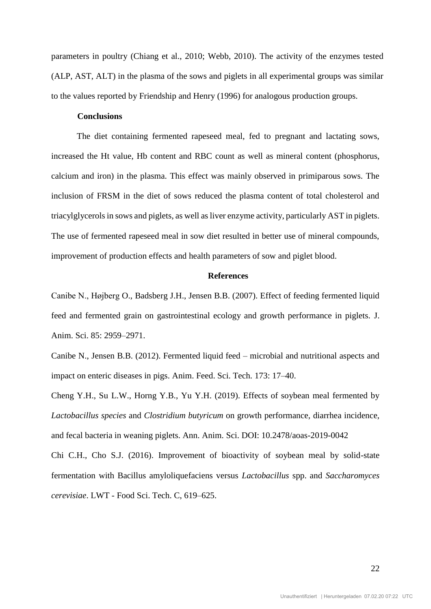parameters in poultry (Chiang et al., 2010; Webb, 2010). The activity of the enzymes tested (ALP, AST, ALT) in the plasma of the sows and piglets in all experimental groups was similar to the values reported by Friendship and Henry (1996) for analogous production groups.

## **Conclusions**

The diet containing fermented rapeseed meal, fed to pregnant and lactating sows, increased the Ht value, Hb content and RBC count as well as mineral content (phosphorus, calcium and iron) in the plasma. This effect was mainly observed in primiparous sows. The inclusion of FRSM in the diet of sows reduced the plasma content of total cholesterol and triacylglycerols in sows and piglets, as well as liver enzyme activity, particularly AST in piglets. The use of fermented rapeseed meal in sow diet resulted in better use of mineral compounds, improvement of production effects and health parameters of sow and piglet blood.

### **References**

Canibe N., Højberg O., Badsberg J.H., Jensen B.B. (2007). Effect of feeding fermented liquid feed and fermented grain on gastrointestinal ecology and growth performance in piglets. J. Anim. Sci. 85: 2959–2971.

Canibe N., Jensen B.B. (2012). Fermented liquid feed – microbial and nutritional aspects and impact on enteric diseases in pigs. Anim. Feed. Sci. Tech. 173: 17–40.

Cheng Y.H., Su L.W., Horng Y.B., Yu Y.H. (2019). Effects of soybean meal fermented by *Lactobacillus species* and *Clostridium butyricum* on growth performance, diarrhea incidence, and fecal bacteria in weaning piglets. Ann. Anim. Sci. DOI: 10.2478/aoas-2019-0042

Chi C.H., Cho S.J. (2016). Improvement of bioactivity of soybean meal by solid-state fermentation with Bacillus amyloliquefaciens versus *Lactobacillus* spp. and *Saccharomyces cerevisiae*. LWT - Food Sci. Tech. C, 619–625.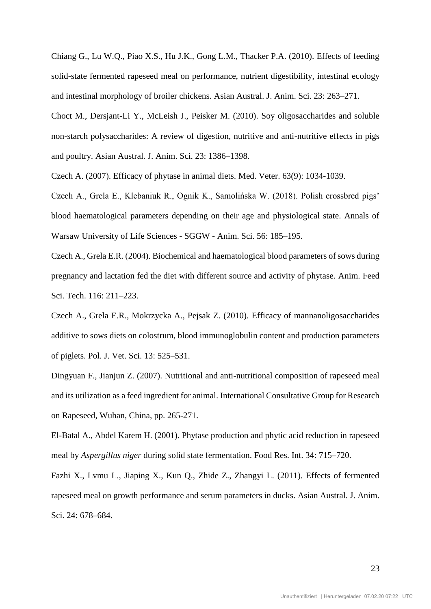Chiang G., Lu W.Q., Piao X.S., Hu J.K., Gong L.M., Thacker P.A. (2010). Effects of feeding solid-state fermented rapeseed meal on performance, nutrient digestibility, intestinal ecology and intestinal morphology of broiler chickens. Asian Austral. J. Anim. Sci. 23: 263–271.

Choct M., Dersjant-Li Y., McLeish J., Peisker M. (2010). Soy oligosaccharides and soluble non-starch polysaccharides: A review of digestion, nutritive and anti-nutritive effects in pigs and poultry. Asian Austral. J. Anim. Sci. 23: 1386–1398.

Czech A. (2007). Efficacy of phytase in animal diets. Med. Veter. 63(9): 1034-1039.

Czech A., Grela E., Klebaniuk R., Ognik K., Samolińska W. (2018). Polish crossbred pigs' blood haematological parameters depending on their age and physiological state. Annals of Warsaw University of Life Sciences - SGGW - Anim. Sci. 56: 185–195.

Czech A., Grela E.R. (2004). Biochemical and haematological blood parameters of sows during pregnancy and lactation fed the diet with different source and activity of phytase. Anim. Feed Sci. Tech. 116: 211–223.

Czech A., Grela E.R., Mokrzycka A., Pejsak Z. (2010). Efficacy of mannanoligosaccharides additive to sows diets on colostrum, blood immunoglobulin content and production parameters of piglets. Pol. J. Vet. Sci. 13: 525–531.

Dingyuan F., Jianjun Z. (2007). Nutritional and anti-nutritional composition of rapeseed meal and its utilization as a feed ingredient for animal. International Consultative Group for Research on Rapeseed, Wuhan, China, pp. 265-271.

El-Batal A., Abdel Karem H. (2001). Phytase production and phytic acid reduction in rapeseed meal by *Aspergillus niger* during solid state fermentation. Food Res. Int. 34: 715–720.

Fazhi X., Lvmu L., Jiaping X., Kun Q., Zhide Z., Zhangyi L. (2011). Effects of fermented rapeseed meal on growth performance and serum parameters in ducks. Asian Austral. J. Anim. Sci. 24: 678–684.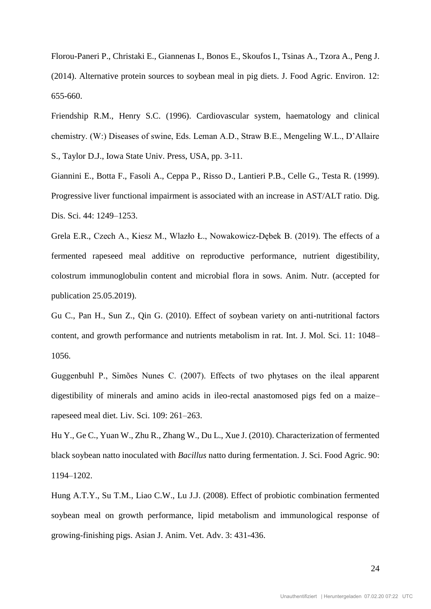Florou-Paneri P., Christaki E., Giannenas I., Bonos E., Skoufos I., Tsinas A., Tzora A., Peng J. (2014). Alternative protein sources to soybean meal in pig diets. J. Food Agric. Environ. 12: 655-660.

Friendship R.M., Henry S.C. (1996). Cardiovascular system, haematology and clinical chemistry. (W:) Diseases of swine, Eds. Leman A.D., Straw B.E., Mengeling W.L., D'Allaire S., Taylor D.J., Iowa State Univ. Press, USA, pp. 3-11.

Giannini E., Botta F., Fasoli A., Ceppa P., Risso D., Lantieri P.B., Celle G., Testa R. (1999). Progressive liver functional impairment is associated with an increase in AST/ALT ratio. Dig. Dis. Sci. 44: 1249–1253.

Grela E.R., Czech A., Kiesz M., Wlazło Ł., Nowakowicz-Dębek B. (2019). The effects of a fermented rapeseed meal additive on reproductive performance, nutrient digestibility, colostrum immunoglobulin content and microbial flora in sows. Anim. Nutr. (accepted for publication 25.05.2019).

Gu C., Pan H., Sun Z., Qin G. (2010). Effect of soybean variety on anti-nutritional factors content, and growth performance and nutrients metabolism in rat. Int. J. Mol. Sci. 11: 1048– 1056.

Guggenbuhl P., Simões Nunes C. (2007). Effects of two phytases on the ileal apparent digestibility of minerals and amino acids in ileo-rectal anastomosed pigs fed on a maize– rapeseed meal diet. Liv. Sci. 109: 261–263.

Hu Y., Ge C., Yuan W., Zhu R., Zhang W., Du L., Xue J. (2010). Characterization of fermented black soybean natto inoculated with *Bacillus* natto during fermentation. J. Sci. Food Agric. 90: 1194–1202.

Hung A.T.Y., Su T.M., Liao C.W., Lu J.J. (2008). Effect of probiotic combination fermented soybean meal on growth performance, lipid metabolism and immunological response of growing-finishing pigs. Asian J. Anim. Vet. Adv. 3: 431-436.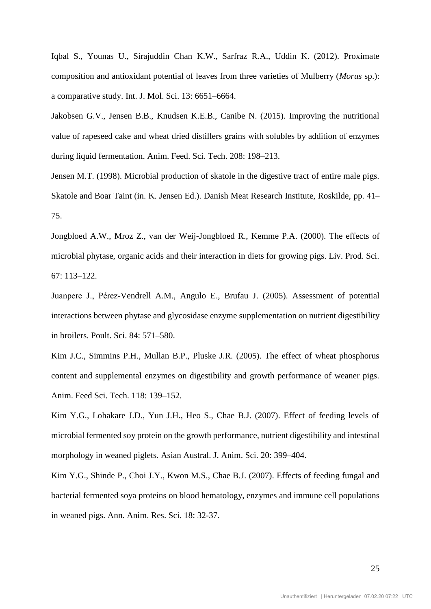Iqbal S., Younas U., Sirajuddin Chan K.W., Sarfraz R.A., Uddin K. (2012). Proximate composition and antioxidant potential of leaves from three varieties of Mulberry (*Morus* sp.): a comparative study. Int. J. Mol. Sci. 13: 6651–6664.

Jakobsen G.V., Jensen B.B., Knudsen K.E.B., Canibe N. (2015). Improving the nutritional value of rapeseed cake and wheat dried distillers grains with solubles by addition of enzymes during liquid fermentation. Anim. Feed. Sci. Tech. 208: 198–213.

Jensen M.T. (1998). Microbial production of skatole in the digestive tract of entire male pigs. Skatole and Boar Taint (in. K. Jensen Ed.). Danish Meat Research Institute, Roskilde, pp. 41– 75.

Jongbloed A.W., Mroz Z., van der Weij-Jongbloed R., Kemme P.A. (2000). The effects of microbial phytase, organic acids and their interaction in diets for growing pigs. Liv. Prod. Sci. 67: 113–122.

Juanpere J., Pérez-Vendrell A.M., Angulo E., Brufau J. (2005). Assessment of potential interactions between phytase and glycosidase enzyme supplementation on nutrient digestibility in broilers. Poult. Sci. 84: 571–580.

Kim J.C., Simmins P.H., Mullan B.P., Pluske J.R. (2005). The effect of wheat phosphorus content and supplemental enzymes on digestibility and growth performance of weaner pigs. Anim. Feed Sci. Tech. 118: 139–152.

Kim Y.G., Lohakare J.D., Yun J.H., Heo S., Chae B.J. (2007). Effect of feeding levels of microbial fermented soy protein on the growth performance, nutrient digestibility and intestinal morphology in weaned piglets. Asian Austral. J. Anim. Sci. 20: 399–404.

Kim Y.G., Shinde P., Choi J.Y., Kwon M.S., Chae B.J. (2007). Effects of feeding fungal and bacterial fermented soya proteins on blood hematology, enzymes and immune cell populations in weaned pigs. Ann. Anim. Res. Sci. 18: 32-37.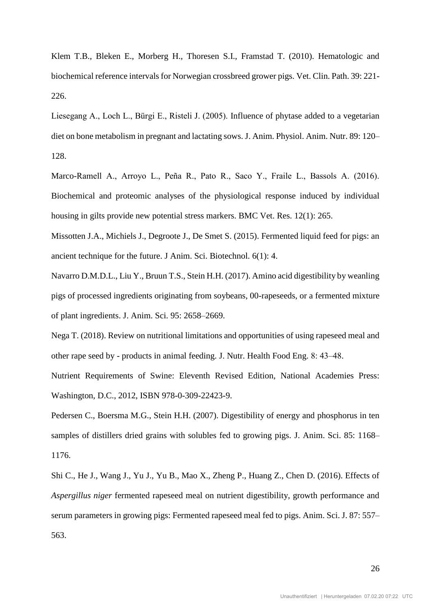Klem T.B., Bleken E., Morberg H., Thoresen S.I., Framstad T. (2010). Hematologic and biochemical reference intervals for Norwegian crossbreed grower pigs. Vet. Clin. Path. 39: 221- 226.

Liesegang A., Loch L., Bürgi E., Risteli J. (2005). Influence of phytase added to a vegetarian diet on bone metabolism in pregnant and lactating sows. J. Anim. Physiol. Anim. Nutr. 89: 120– 128.

Marco-Ramell A., Arroyo L., Peña R., Pato R., Saco Y., Fraile L., Bassols A. (2016). Biochemical and proteomic analyses of the physiological response induced by individual housing in gilts provide new potential stress markers. BMC Vet. Res. 12(1): 265.

Missotten J.A., Michiels J., Degroote J., De Smet S. (2015). Fermented liquid feed for pigs: an ancient technique for the future. J Anim. Sci. Biotechnol. 6(1): 4.

Navarro D.M.D.L., Liu Y., Bruun T.S., Stein H.H. (2017). Amino acid digestibility by weanling pigs of processed ingredients originating from soybeans, 00-rapeseeds, or a fermented mixture of plant ingredients. J. Anim. Sci. 95: 2658–2669.

Nega T. (2018). Review on nutritional limitations and opportunities of using rapeseed meal and other rape seed by - products in animal feeding. J. Nutr. Health Food Eng. 8: 43‒48.

Nutrient Requirements of Swine: Eleventh Revised Edition, National Academies Press: Washington, D.C., 2012, ISBN 978-0-309-22423-9.

Pedersen C., Boersma M.G., Stein H.H. (2007). Digestibility of energy and phosphorus in ten samples of distillers dried grains with solubles fed to growing pigs. J. Anim. Sci. 85: 1168– 1176.

Shi C., He J., Wang J., Yu J., Yu B., Mao X., Zheng P., Huang Z., Chen D. (2016). Effects of *Aspergillus niger* fermented rapeseed meal on nutrient digestibility, growth performance and serum parameters in growing pigs: Fermented rapeseed meal fed to pigs. Anim. Sci. J. 87: 557– 563.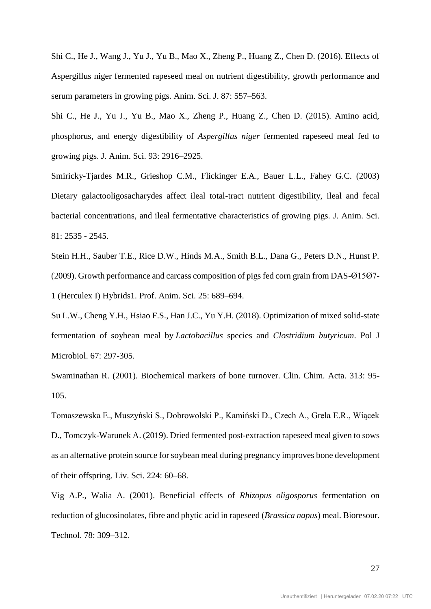Shi C., He J., Wang J., Yu J., Yu B., Mao X., Zheng P., Huang Z., Chen D. (2016). Effects of Aspergillus niger fermented rapeseed meal on nutrient digestibility, growth performance and serum parameters in growing pigs. Anim. Sci. J. 87: 557–563.

Shi C., He J., Yu J., Yu B., Mao X., Zheng P., Huang Z., Chen D. (2015). Amino acid, phosphorus, and energy digestibility of *Aspergillus niger* fermented rapeseed meal fed to growing pigs. J. Anim. Sci. 93: 2916–2925.

Smiricky-Tjardes M.R., Grieshop C.M., Flickinger E.A., Bauer L.L., Fahey G.C. (2003) Dietary galactooligosacharydes affect ileal total-tract nutrient digestibility, ileal and fecal bacterial concentrations, and ileal fermentative characteristics of growing pigs. J. Anim. Sci. 81: 2535 - 2545.

Stein H.H., Sauber T.E., Rice D.W., Hinds M.A., Smith B.L., Dana G., Peters D.N., Hunst P. (2009). Growth performance and carcass composition of pigs fed corn grain from DAS-Ø15Ø7- 1 (Herculex I) Hybrids1. Prof. Anim. Sci. 25: 689–694.

Su L.W., Cheng Y.H., [Hsiao F.S.](https://www.ncbi.nlm.nih.gov/pubmed/?term=Hsiao%20FS%5BAuthor%5D&cauthor=true&cauthor_uid=30451446), [Han J.C.](https://www.ncbi.nlm.nih.gov/pubmed/?term=Han%20JC%5BAuthor%5D&cauthor=true&cauthor_uid=30451446), [Yu Y.H.](https://www.ncbi.nlm.nih.gov/pubmed/?term=Yu%20YH%5BAuthor%5D&cauthor=true&cauthor_uid=30451446) (2018). Optimization of mixed solid-state fermentation of soybean meal by *Lactobacillus* species and *Clostridium butyricum*. Pol J Microbiol. 67: 297-305.

Swaminathan R. (2001). Biochemical markers of bone turnover. Clin. Chim. Acta. 313: 95- 105.

Tomaszewska E., Muszyński S., Dobrowolski P., Kamiński D., Czech A., Grela E.R., Wiącek D., Tomczyk-Warunek A. (2019). Dried fermented post-extraction rapeseed meal given to sows as an alternative protein source for soybean meal during pregnancy improves bone development of their offspring. Liv. Sci. 224: 60–68.

Vig A.P., Walia A. (2001). Beneficial effects of *Rhizopus oligosporus* fermentation on reduction of glucosinolates, fibre and phytic acid in rapeseed (*Brassica napus*) meal. Bioresour. Technol. 78: 309–312.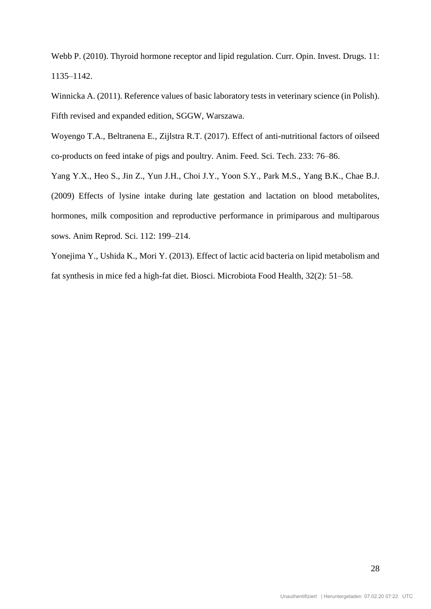Webb P. (2010). Thyroid hormone receptor and lipid regulation. Curr. Opin. Invest. Drugs. 11: 1135–1142.

Winnicka A. (2011). Reference values of basic laboratory tests in veterinary science (in Polish). Fifth revised and expanded edition, SGGW, Warszawa.

Woyengo T.A., Beltranena E., Zijlstra R.T. (2017). Effect of anti-nutritional factors of oilseed co-products on feed intake of pigs and poultry. Anim. Feed. Sci. Tech. 233: 76–86.

Yang Y.X., Heo S., Jin Z., Yun J.H., Choi J.Y., Yoon S.Y., Park M.S., Yang B.K., Chae B.J. (2009) Effects of lysine intake during late gestation and lactation on blood metabolites, hormones, milk composition and reproductive performance in primiparous and multiparous sows. Anim Reprod. Sci. 112: 199–214.

Yonejima Y., Ushida K., Mori Y. (2013). Effect of lactic acid bacteria on lipid metabolism and fat synthesis in mice fed a high-fat diet. Biosci. Microbiota Food Health, 32(2): 51–58.